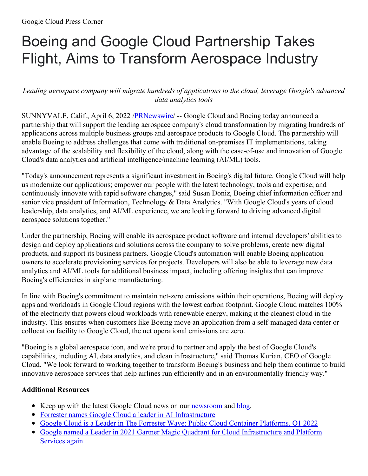# Boeing and Google Cloud Partnership Takes Flight, Aims to Transform Aerospace Industry

## *Leading aerospace company will migrate hundreds of applications to the cloud, leverage Google's advanced data analytics tools*

SUNNYVALE, Calif., April 6, 2022 [/PRNewswire](http://www.prnewswire.com/)/ -- Google Cloud and Boeing today announced a partnership that will support the leading aerospace company's cloud transformation by migrating hundreds of applications across multiple business groups and aerospace products to Google Cloud. The partnership will enable Boeing to address challenges that come with traditional on-premises IT implementations, taking advantage of the scalability and flexibility of the cloud, along with the ease-of-use and innovation of Google Cloud's data analytics and artificial intelligence/machine learning (AI/ML) tools.

"Today's announcement represents a significant investment in Boeing's digital future. Google Cloud will help us modernize our applications; empower our people with the latest technology, tools and expertise; and continuously innovate with rapid software changes," said Susan Doniz, Boeing chief information officer and senior vice president of Information, Technology & Data Analytics. "With Google Cloud's years of cloud leadership, data analytics, and AI/ML experience, we are looking forward to driving advanced digital aerospace solutions together."

Under the partnership, Boeing will enable its aerospace product software and internal developers' abilities to design and deploy applications and solutions across the company to solve problems, create new digital products, and support its business partners. Google Cloud's automation will enable Boeing application owners to accelerate provisioning services for projects. Developers will also be able to leverage new data analytics and AI/ML tools for additional business impact, including offering insights that can improve Boeing's efficiencies in airplane manufacturing.

In line with Boeing's commitment to maintain net-zero emissions within their operations, Boeing will deploy apps and workloads in Google Cloud regions with the lowest carbon footprint. Google Cloud matches 100% of the electricity that powers cloud workloads with renewable energy, making it the cleanest cloud in the industry. This ensures when customers like Boeing move an application from a self-managed data center or collocation facility to Google Cloud, the net operational emissions are zero.

"Boeing is a global aerospace icon, and we're proud to partner and apply the best of Google Cloud's capabilities, including AI, data analytics, and clean infrastructure," said Thomas Kurian, CEO of Google Cloud. "We look forward to working together to transform Boeing's business and help them continue to build innovative aerospace services that help airlines run efficiently and in an environmentally friendly way."

### **Additional Resources**

- Keep up with the latest Google Cloud news on our **[newsroom](https://c212.net/c/link/?t=0&l=en&o=3495890-1&h=3219928742&u=https%3A%2F%2Fcloud.google.com%2Fpress-releases&a=newsroom)** and **[blog](https://c212.net/c/link/?t=0&l=en&o=3495890-1&h=1553327879&u=https%3A%2F%2Fcloud.google.com%2Fblog%2F&a=blog)**.
- Forrester names Google Cloud a leader in AI [Infrastructure](https://c212.net/c/link/?t=0&l=en&o=3495890-1&h=740909439&u=https%3A%2F%2Fcloud.google.com%2Fblog%2Fproducts%2Fai-machine-learning%2Fgoogle-cloud-a-leader-in-the-forrester-wave-ai-infrastructure&a=Forrester+names+Google+Cloud+a+leader+in+AI+Infrastructure)
- Google Cloud is a Leader in The Forrester Wave: Public Cloud Container [Platforms,](https://c212.net/c/link/?t=0&l=en&o=3495890-1&h=3718934799&u=https%3A%2F%2Fcloud.google.com%2Fblog%2Fproducts%2Fcontainers-kubernetes%2Fgoogle-cloud-leader-forrester-wave-public-cloud-container-platforms-q1-2022&a=Google+Cloud+is+a+Leader+in+The+Forrester+Wave%3A+Public+Cloud+Container+Platforms%2C+Q1+2022) Q1 2022
- Google named a Leader in 2021 Gartner Magic Quadrant for Cloud [Infrastructure](https://c212.net/c/link/?t=0&l=en&o=3495890-1&h=625003720&u=https%3A%2F%2Fcloud.google.com%2Fblog%2Fproducts%2Fgcp%2Fgoogle-cloud-a-leader-in-2021-gartner-iaas-mq&a=Google+named+a+Leader+in+2021+Gartner+Magic+Quadrant+for+Cloud+Infrastructure+and+Platform+Services+again) and Platform Services again